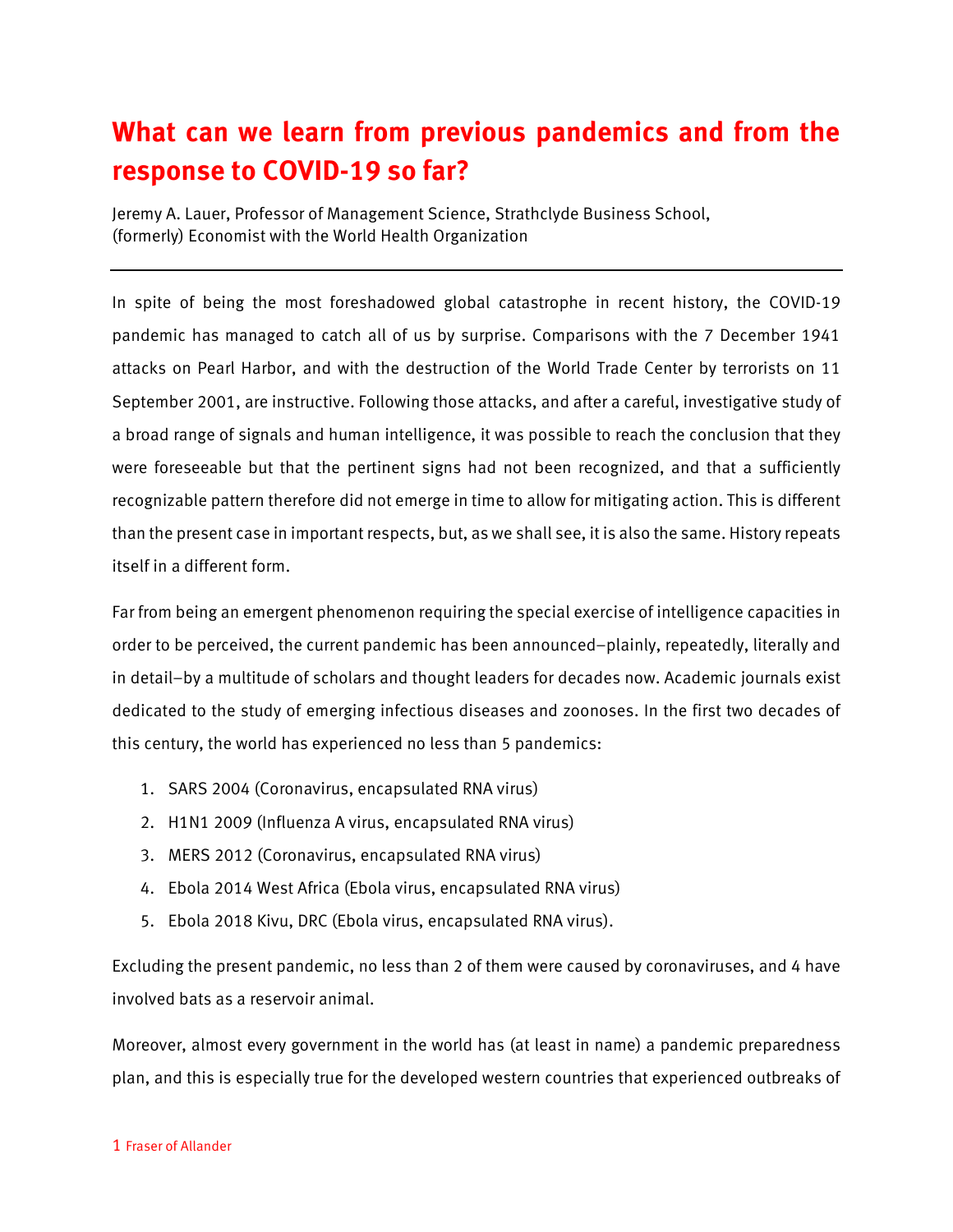## **What can we learn from previous pandemics and from the response to COVID-19 so far?**

Jeremy A. Lauer, Professor of Management Science, Strathclyde Business School, (formerly) Economist with the World Health Organization

In spite of being the most foreshadowed global catastrophe in recent history, the COVID-19 pandemic has managed to catch all of us by surprise. Comparisons with the 7 December 1941 attacks on Pearl Harbor, and with the destruction of the World Trade Center by terrorists on 11 September 2001, are instructive. Following those attacks, and after a careful, investigative study of a broad range of signals and human intelligence, it was possible to reach the conclusion that they were foreseeable but that the pertinent signs had not been recognized, and that a sufficiently recognizable pattern therefore did not emerge in time to allow for mitigating action. This is different than the present case in important respects, but, as we shall see, it is also the same. History repeats itself in a different form.

Far from being an emergent phenomenon requiring the special exercise of intelligence capacities in order to be perceived, the current pandemic has been announced–plainly, repeatedly, literally and in detail–by a multitude of scholars and thought leaders for decades now. Academic journals exist dedicated to the study of emerging infectious diseases and zoonoses. In the first two decades of this century, the world has experienced no less than 5 pandemics:

- 1. SARS 2004 (Coronavirus, encapsulated RNA virus)
- 2. H1N1 2009 (Influenza A virus, encapsulated RNA virus)
- 3. MERS 2012 (Coronavirus, encapsulated RNA virus)
- 4. Ebola 2014 West Africa (Ebola virus, encapsulated RNA virus)
- 5. Ebola 2018 Kivu, DRC (Ebola virus, encapsulated RNA virus).

Excluding the present pandemic, no less than 2 of them were caused by coronaviruses, and 4 have involved bats as a reservoir animal.

Moreover, almost every government in the world has (at least in name) a pandemic preparedness plan, and this is especially true for the developed western countries that experienced outbreaks of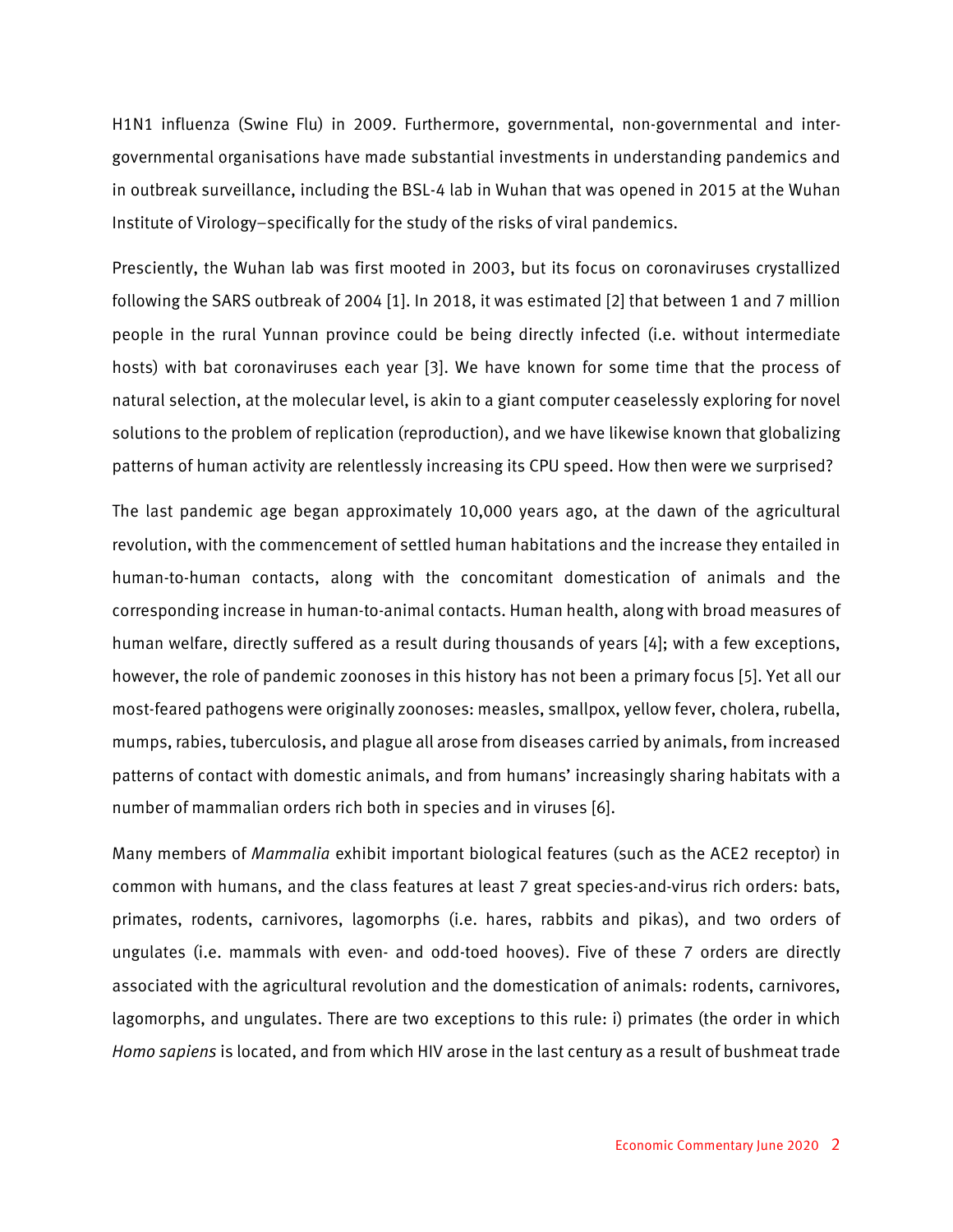H1N1 influenza (Swine Flu) in 2009. Furthermore, governmental, non-governmental and intergovernmental organisations have made substantial investments in understanding pandemics and in outbreak surveillance, including the BSL-4 lab in Wuhan that was opened in 2015 at the Wuhan Institute of Virology–specifically for the study of the risks of viral pandemics.

Presciently, the Wuhan lab was first mooted in 2003, but its focus on coronaviruses crystallized following the SARS outbreak of 2004 [1]. In 2018, it was estimated [2] that between 1 and 7 million people in the rural Yunnan province could be being directly infected (i.e. without intermediate hosts) with bat coronaviruses each year [3]. We have known for some time that the process of natural selection, at the molecular level, is akin to a giant computer ceaselessly exploring for novel solutions to the problem of replication (reproduction), and we have likewise known that globalizing patterns of human activity are relentlessly increasing its CPU speed. How then were we surprised?

The last pandemic age began approximately 10,000 years ago, at the dawn of the agricultural revolution, with the commencement of settled human habitations and the increase they entailed in human-to-human contacts, along with the concomitant domestication of animals and the corresponding increase in human-to-animal contacts. Human health, along with broad measures of human welfare, directly suffered as a result during thousands of years [4]; with a few exceptions, however, the role of pandemic zoonoses in this history has not been a primary focus [5]. Yet all our most-feared pathogens were originally zoonoses: measles, smallpox, yellow fever, cholera, rubella, mumps, rabies, tuberculosis, and plague all arose from diseases carried by animals, from increased patterns of contact with domestic animals, and from humans' increasingly sharing habitats with a number of mammalian orders rich both in species and in viruses [6].

Many members of *Mammalia* exhibit important biological features (such as the ACE2 receptor) in common with humans, and the class features at least 7 great species-and-virus rich orders: bats, primates, rodents, carnivores, lagomorphs (i.e. hares, rabbits and pikas), and two orders of ungulates (i.e. mammals with even- and odd-toed hooves). Five of these 7 orders are directly associated with the agricultural revolution and the domestication of animals: rodents, carnivores, lagomorphs, and ungulates. There are two exceptions to this rule: i) primates (the order in which *Homo sapiens* is located, and from which HIV arose in the last century as a result of bushmeat trade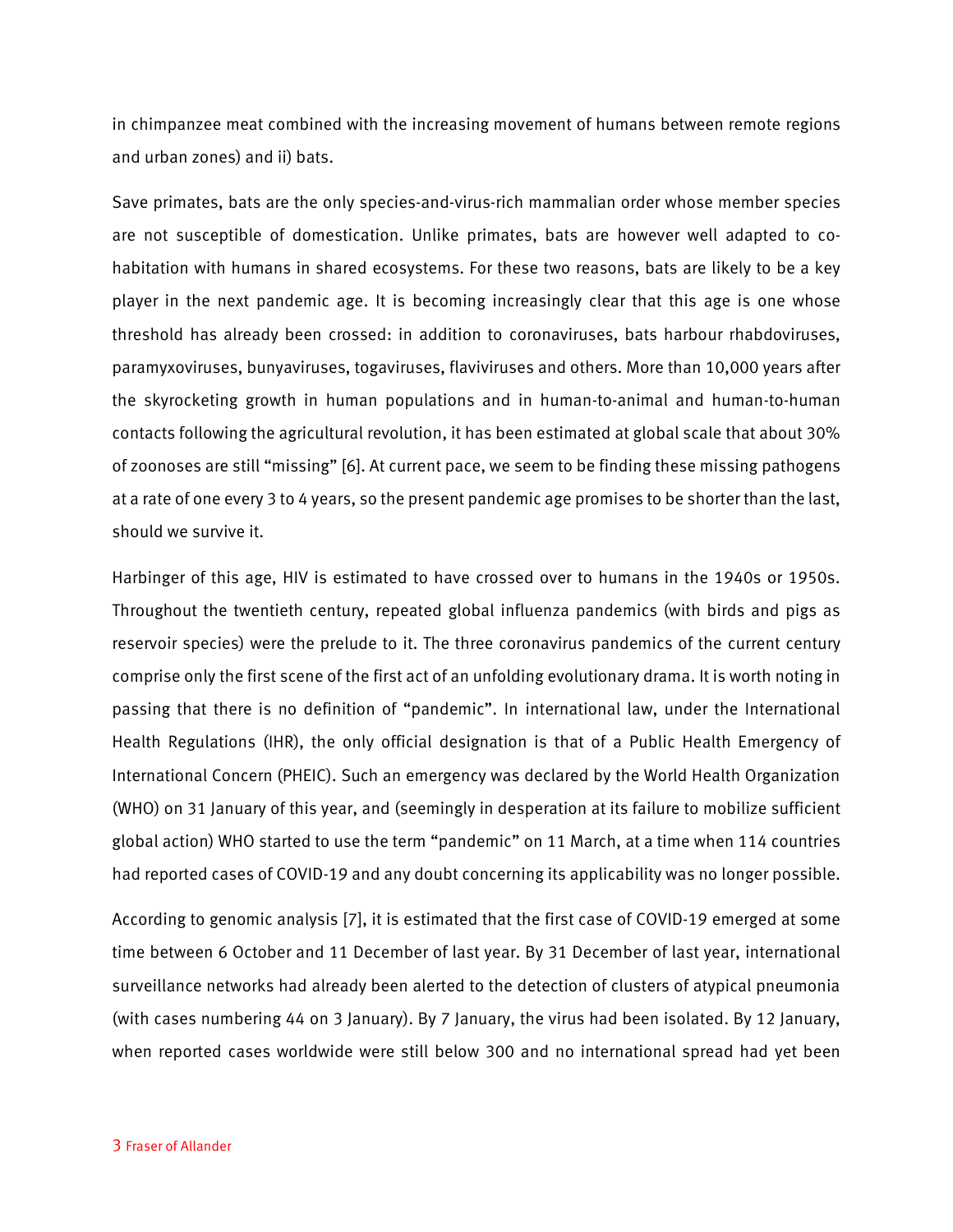in chimpanzee meat combined with the increasing movement of humans between remote regions and urban zones) and ii) bats.

Save primates, bats are the only species-and-virus-rich mammalian order whose member species are not susceptible of domestication. Unlike primates, bats are however well adapted to cohabitation with humans in shared ecosystems. For these two reasons, bats are likely to be a key player in the next pandemic age. It is becoming increasingly clear that this age is one whose threshold has already been crossed: in addition to coronaviruses, bats harbour rhabdoviruses, paramyxoviruses, bunyaviruses, togaviruses, flaviviruses and others. More than 10,000 years after the skyrocketing growth in human populations and in human-to-animal and human-to-human contacts following the agricultural revolution, it has been estimated at global scale that about 30% of zoonoses are still "missing" [6]. At current pace, we seem to be finding these missing pathogens at a rate of one every 3 to 4 years, so the present pandemic age promises to be shorter than the last, should we survive it.

Harbinger of this age, HIV is estimated to have crossed over to humans in the 1940s or 1950s. Throughout the twentieth century, repeated global influenza pandemics (with birds and pigs as reservoir species) were the prelude to it. The three coronavirus pandemics of the current century comprise only the first scene of the first act of an unfolding evolutionary drama. It is worth noting in passing that there is no definition of "pandemic". In international law, under the International Health Regulations (IHR), the only official designation is that of a Public Health Emergency of International Concern (PHEIC). Such an emergency was declared by the World Health Organization (WHO) on 31 January of this year, and (seemingly in desperation at its failure to mobilize sufficient global action) WHO started to use the term "pandemic" on 11 March, at a time when 114 countries had reported cases of COVID-19 and any doubt concerning its applicability was no longer possible.

According to genomic analysis [7], it is estimated that the first case of COVID-19 emerged at some time between 6 October and 11 December of last year. By 31 December of last year, international surveillance networks had already been alerted to the detection of clusters of atypical pneumonia (with cases numbering 44 on 3 January). By 7 January, the virus had been isolated. By 12 January, when reported cases worldwide were still below 300 and no international spread had yet been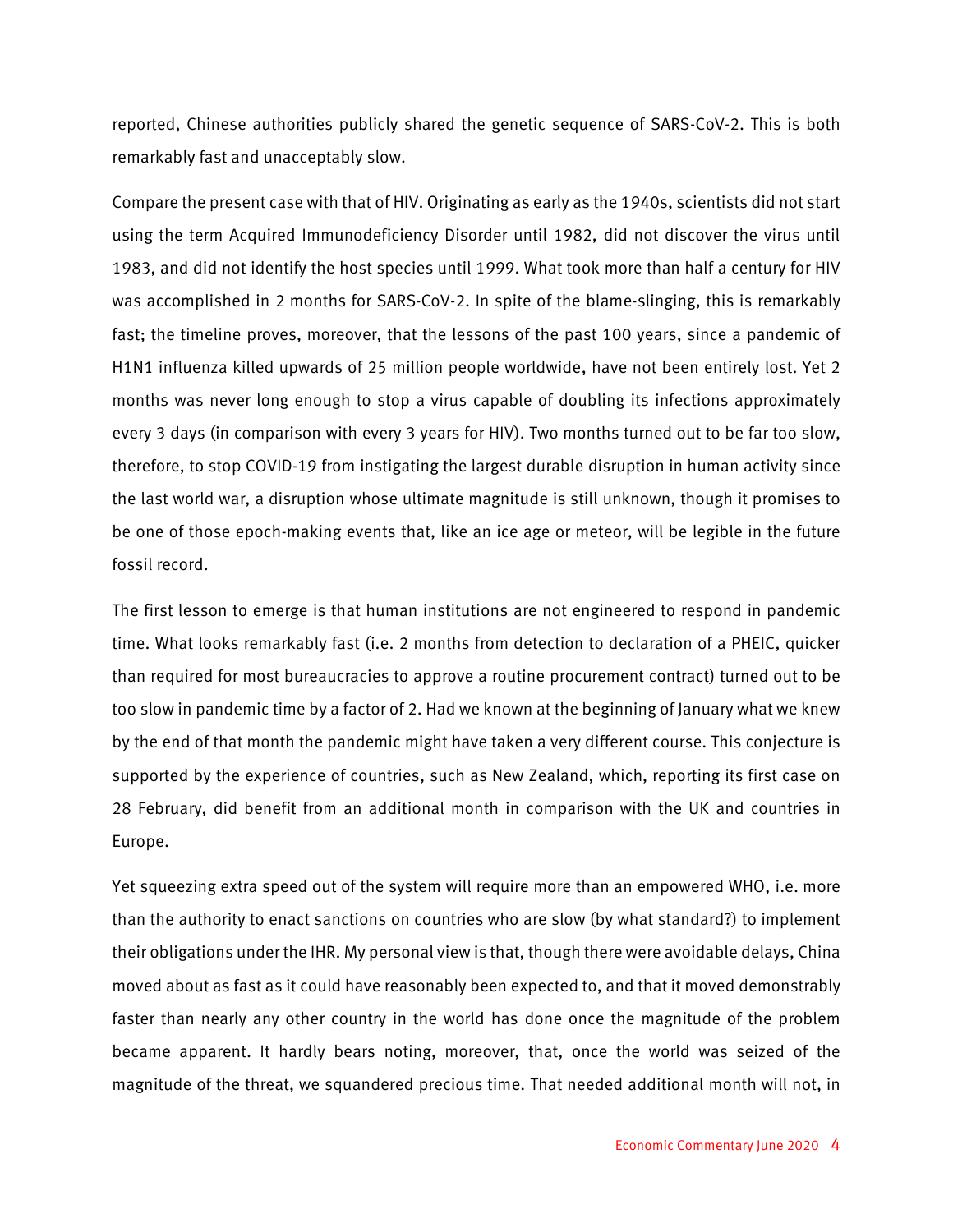reported, Chinese authorities publicly shared the genetic sequence of SARS-CoV-2. This is both remarkably fast and unacceptably slow.

Compare the present case with that of HIV. Originating as early as the 1940s, scientists did not start using the term Acquired Immunodeficiency Disorder until 1982, did not discover the virus until 1983, and did not identify the host species until 1999. What took more than half a century for HIV was accomplished in 2 months for SARS-CoV-2. In spite of the blame-slinging, this is remarkably fast; the timeline proves, moreover, that the lessons of the past 100 years, since a pandemic of H1N1 influenza killed upwards of 25 million people worldwide, have not been entirely lost. Yet 2 months was never long enough to stop a virus capable of doubling its infections approximately every 3 days (in comparison with every 3 years for HIV). Two months turned out to be far too slow, therefore, to stop COVID-19 from instigating the largest durable disruption in human activity since the last world war, a disruption whose ultimate magnitude is still unknown, though it promises to be one of those epoch-making events that, like an ice age or meteor, will be legible in the future fossil record.

The first lesson to emerge is that human institutions are not engineered to respond in pandemic time. What looks remarkably fast (i.e. 2 months from detection to declaration of a PHEIC, quicker than required for most bureaucracies to approve a routine procurement contract) turned out to be too slow in pandemic time by a factor of 2. Had we known at the beginning of January what we knew by the end of that month the pandemic might have taken a very different course. This conjecture is supported by the experience of countries, such as New Zealand, which, reporting its first case on 28 February, did benefit from an additional month in comparison with the UK and countries in Europe.

Yet squeezing extra speed out of the system will require more than an empowered WHO, i.e. more than the authority to enact sanctions on countries who are slow (by what standard?) to implement their obligations under the IHR. My personal view is that, though there were avoidable delays, China moved about as fast as it could have reasonably been expected to, and that it moved demonstrably faster than nearly any other country in the world has done once the magnitude of the problem became apparent. It hardly bears noting, moreover, that, once the world was seized of the magnitude of the threat, we squandered precious time. That needed additional month will not, in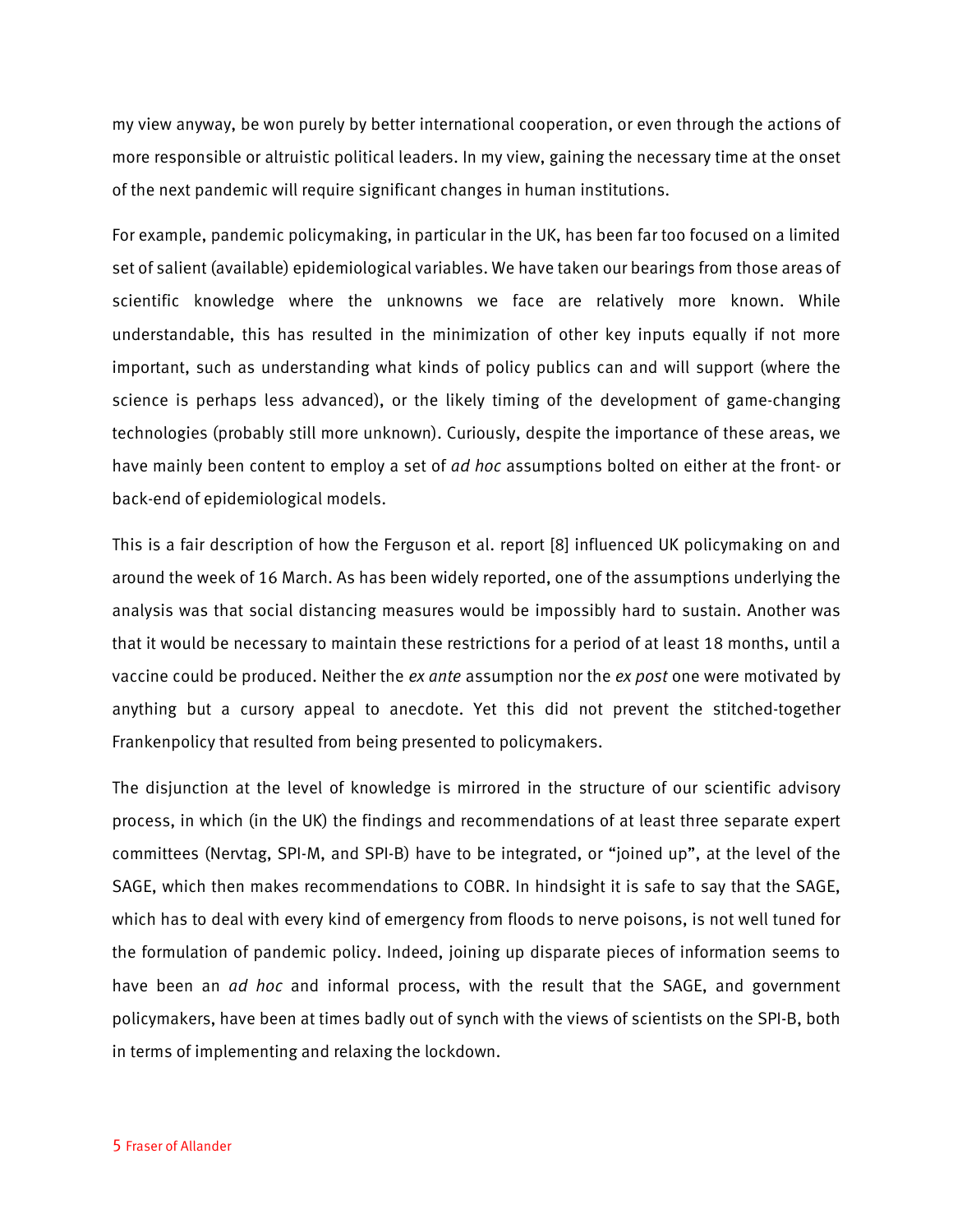my view anyway, be won purely by better international cooperation, or even through the actions of more responsible or altruistic political leaders. In my view, gaining the necessary time at the onset of the next pandemic will require significant changes in human institutions.

For example, pandemic policymaking, in particular in the UK, has been far too focused on a limited set of salient (available) epidemiological variables. We have taken our bearings from those areas of scientific knowledge where the unknowns we face are relatively more known. While understandable, this has resulted in the minimization of other key inputs equally if not more important, such as understanding what kinds of policy publics can and will support (where the science is perhaps less advanced), or the likely timing of the development of game-changing technologies (probably still more unknown). Curiously, despite the importance of these areas, we have mainly been content to employ a set of *ad hoc* assumptions bolted on either at the front- or back-end of epidemiological models.

This is a fair description of how the Ferguson et al. report [8] influenced UK policymaking on and around the week of 16 March. As has been widely reported, one of the assumptions underlying the analysis was that social distancing measures would be impossibly hard to sustain. Another was that it would be necessary to maintain these restrictions for a period of at least 18 months, until a vaccine could be produced. Neither the *ex ante* assumption nor the *ex post* one were motivated by anything but a cursory appeal to anecdote. Yet this did not prevent the stitched-together Frankenpolicy that resulted from being presented to policymakers.

The disjunction at the level of knowledge is mirrored in the structure of our scientific advisory process, in which (in the UK) the findings and recommendations of at least three separate expert committees (Nervtag, SPI-M, and SPI-B) have to be integrated, or "joined up", at the level of the SAGE, which then makes recommendations to COBR. In hindsight it is safe to say that the SAGE, which has to deal with every kind of emergency from floods to nerve poisons, is not well tuned for the formulation of pandemic policy. Indeed, joining up disparate pieces of information seems to have been an *ad hoc* and informal process, with the result that the SAGE, and government policymakers, have been at times badly out of synch with the views of scientists on the SPI-B, both in terms of implementing and relaxing the lockdown.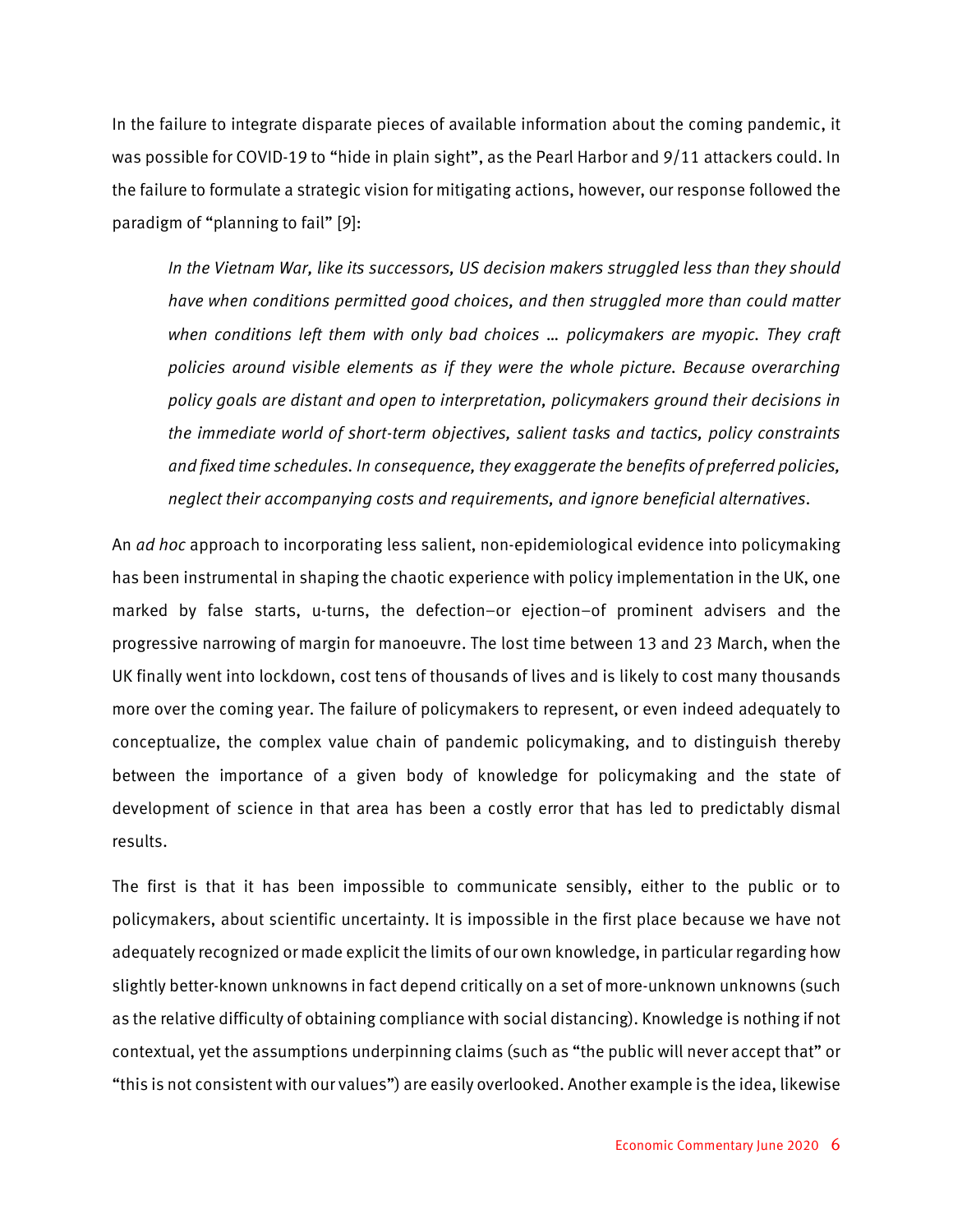In the failure to integrate disparate pieces of available information about the coming pandemic, it was possible for COVID-19 to "hide in plain sight", as the Pearl Harbor and 9/11 attackers could. In the failure to formulate a strategic vision for mitigating actions, however, our response followed the paradigm of "planning to fail" [9]:

*In the Vietnam War, like its successors, US decision makers struggled less than they should have when conditions permitted good choices, and then struggled more than could matter when conditions left them with only bad choices … policymakers are myopic. They craft policies around visible elements as if they were the whole picture. Because overarching policy goals are distant and open to interpretation, policymakers ground their decisions in the immediate world of short-term objectives, salient tasks and tactics, policy constraints and fixed time schedules. In consequence, they exaggerate the benefits of preferred policies, neglect their accompanying costs and requirements, and ignore beneficial alternatives.*

An *ad hoc* approach to incorporating less salient, non-epidemiological evidence into policymaking has been instrumental in shaping the chaotic experience with policy implementation in the UK, one marked by false starts, u-turns, the defection–or ejection–of prominent advisers and the progressive narrowing of margin for manoeuvre. The lost time between 13 and 23 March, when the UK finally went into lockdown, cost tens of thousands of lives and is likely to cost many thousands more over the coming year. The failure of policymakers to represent, or even indeed adequately to conceptualize, the complex value chain of pandemic policymaking, and to distinguish thereby between the importance of a given body of knowledge for policymaking and the state of development of science in that area has been a costly error that has led to predictably dismal results.

The first is that it has been impossible to communicate sensibly, either to the public or to policymakers, about scientific uncertainty. It is impossible in the first place because we have not adequately recognized or made explicit the limits of our own knowledge, in particular regarding how slightly better-known unknowns in fact depend critically on a set of more-unknown unknowns (such as the relative difficulty of obtaining compliance with social distancing). Knowledge is nothing if not contextual, yet the assumptions underpinning claims (such as "the public will never accept that" or "this is not consistent with our values") are easily overlooked. Another example is the idea, likewise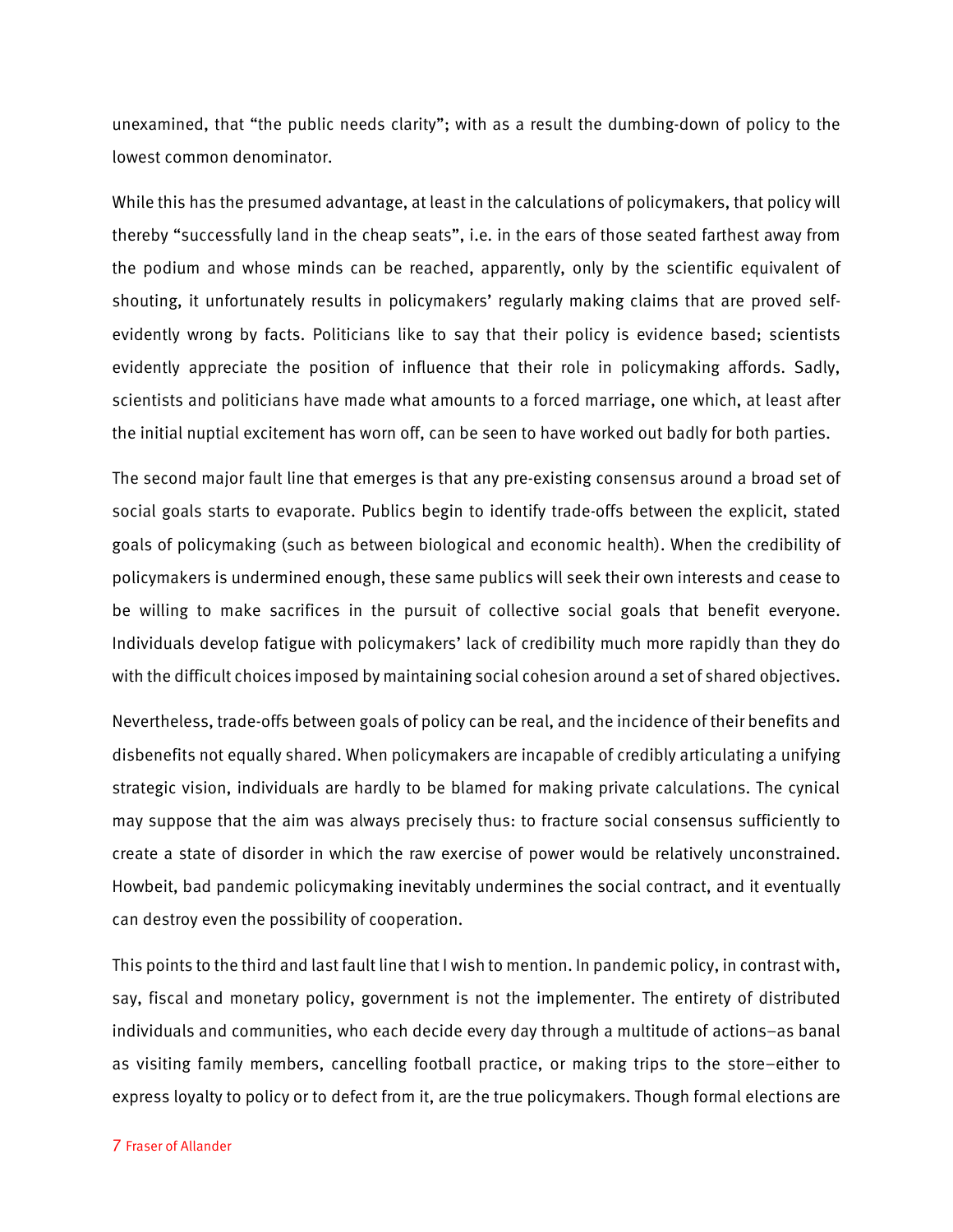unexamined, that "the public needs clarity"; with as a result the dumbing-down of policy to the lowest common denominator.

While this has the presumed advantage, at least in the calculations of policymakers, that policy will thereby "successfully land in the cheap seats", i.e. in the ears of those seated farthest away from the podium and whose minds can be reached, apparently, only by the scientific equivalent of shouting, it unfortunately results in policymakers' regularly making claims that are proved selfevidently wrong by facts. Politicians like to say that their policy is evidence based; scientists evidently appreciate the position of influence that their role in policymaking affords. Sadly, scientists and politicians have made what amounts to a forced marriage, one which, at least after the initial nuptial excitement has worn off, can be seen to have worked out badly for both parties.

The second major fault line that emerges is that any pre-existing consensus around a broad set of social goals starts to evaporate. Publics begin to identify trade-offs between the explicit, stated goals of policymaking (such as between biological and economic health). When the credibility of policymakers is undermined enough, these same publics will seek their own interests and cease to be willing to make sacrifices in the pursuit of collective social goals that benefit everyone. Individuals develop fatigue with policymakers' lack of credibility much more rapidly than they do with the difficult choices imposed by maintaining social cohesion around a set of shared objectives.

Nevertheless, trade-offs between goals of policy can be real, and the incidence of their benefits and disbenefits not equally shared. When policymakers are incapable of credibly articulating a unifying strategic vision, individuals are hardly to be blamed for making private calculations. The cynical may suppose that the aim was always precisely thus: to fracture social consensus sufficiently to create a state of disorder in which the raw exercise of power would be relatively unconstrained. Howbeit, bad pandemic policymaking inevitably undermines the social contract, and it eventually can destroy even the possibility of cooperation.

This points to the third and last fault line that I wish to mention. In pandemic policy, in contrast with, say, fiscal and monetary policy, government is not the implementer. The entirety of distributed individuals and communities, who each decide every day through a multitude of actions–as banal as visiting family members, cancelling football practice, or making trips to the store–either to express loyalty to policy or to defect from it, are the true policymakers. Though formal elections are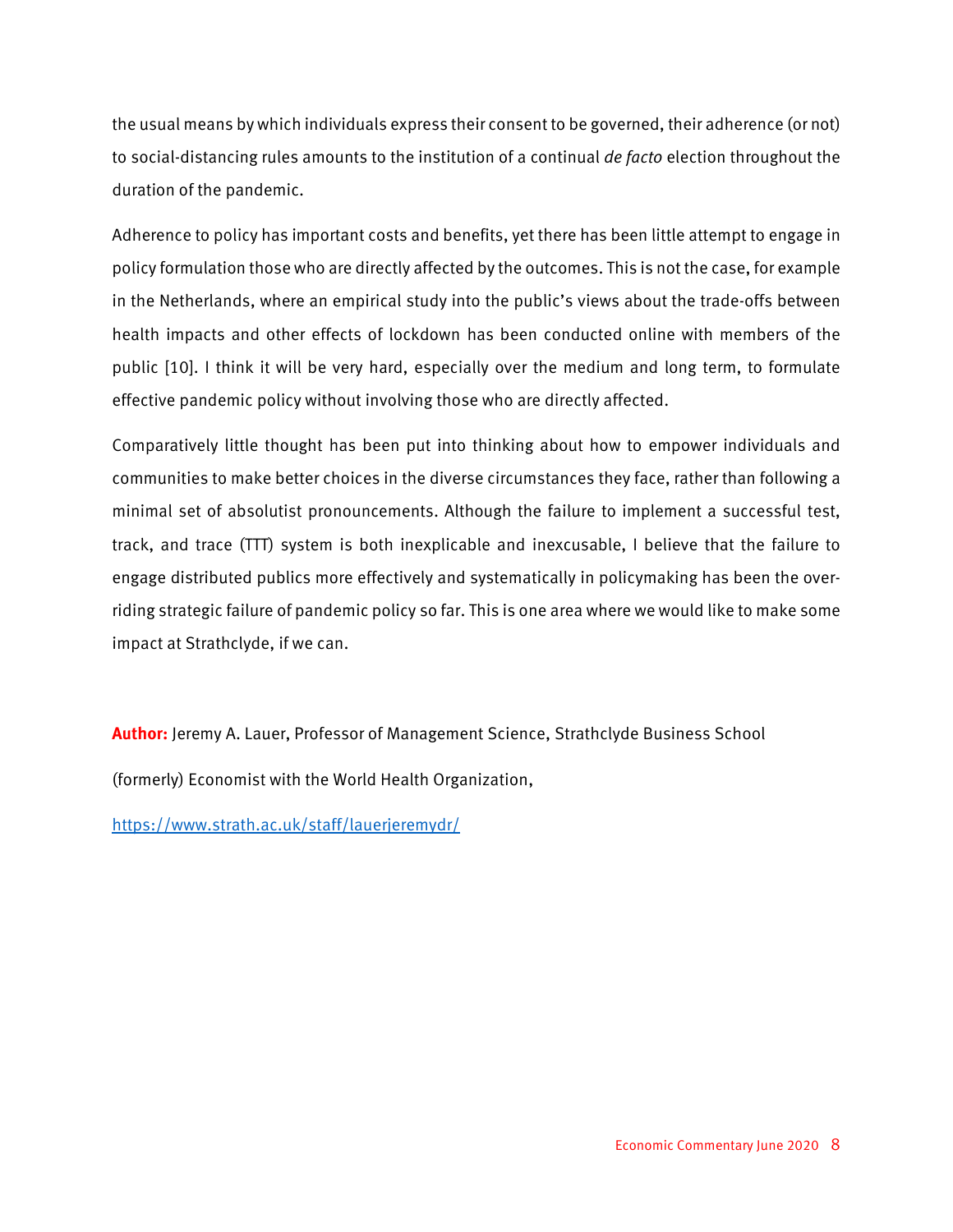the usual means by which individuals express their consent to be governed, their adherence (or not) to social-distancing rules amounts to the institution of a continual *de facto* election throughout the duration of the pandemic.

Adherence to policy has important costs and benefits, yet there has been little attempt to engage in policy formulation those who are directly affected by the outcomes. This is not the case, for example in the Netherlands, where an empirical study into the public's views about the trade-offs between health impacts and other effects of lockdown has been conducted online with members of the public [10]. I think it will be very hard, especially over the medium and long term, to formulate effective pandemic policy without involving those who are directly affected.

Comparatively little thought has been put into thinking about how to empower individuals and communities to make better choices in the diverse circumstances they face, rather than following a minimal set of absolutist pronouncements. Although the failure to implement a successful test, track, and trace (TTT) system is both inexplicable and inexcusable, I believe that the failure to engage distributed publics more effectively and systematically in policymaking has been the overriding strategic failure of pandemic policy so far. This is one area where we would like to make some impact at Strathclyde, if we can.

**Author:** Jeremy A. Lauer, Professor of Management Science, Strathclyde Business School

(formerly) Economist with the World Health Organization,

<https://www.strath.ac.uk/staff/lauerjeremydr/>